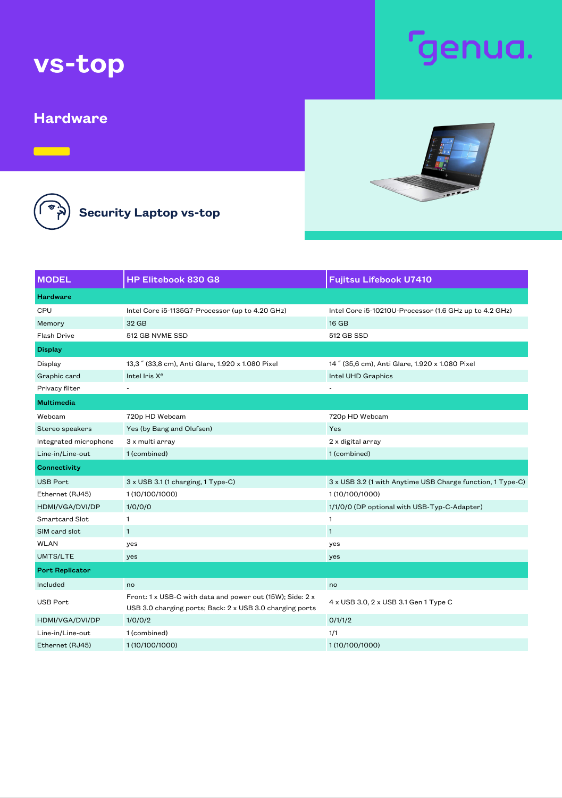## vs-top

#### **Hardware**

 $\qquad \qquad$ 

**CED** 

### Security Laptop vs-top

| <b>MODEL</b>           | HP Elitebook 830 G8                                                                                                   | <b>Fujitsu Lifebook U7410</b>                              |
|------------------------|-----------------------------------------------------------------------------------------------------------------------|------------------------------------------------------------|
| <b>Hardware</b>        |                                                                                                                       |                                                            |
| CPU                    | Intel Core i5-1135G7-Processor (up to 4.20 GHz)                                                                       | Intel Core i5-10210U-Processor (1.6 GHz up to 4.2 GHz)     |
| Memory                 | 32 GB                                                                                                                 | $16$ GB                                                    |
| <b>Flash Drive</b>     | 512 GB NVME SSD                                                                                                       | 512 GB SSD                                                 |
| <b>Display</b>         |                                                                                                                       |                                                            |
| Display                | 13,3" (33,8 cm), Anti Glare, 1.920 x 1.080 Pixel                                                                      | 14" (35,6 cm), Anti Glare, 1.920 x 1.080 Pixel             |
| Graphic card           | Intel Iris X <sup>e</sup>                                                                                             | <b>Intel UHD Graphics</b>                                  |
| Privacy filter         |                                                                                                                       |                                                            |
| <b>Multimedia</b>      |                                                                                                                       |                                                            |
| Webcam                 | 720p HD Webcam                                                                                                        | 720p HD Webcam                                             |
| Stereo speakers        | Yes (by Bang and Olufsen)                                                                                             | Yes                                                        |
| Integrated microphone  | 3 x multi array                                                                                                       | 2 x digital array                                          |
| Line-in/Line-out       | 1 (combined)                                                                                                          | 1 (combined)                                               |
| <b>Connectivity</b>    |                                                                                                                       |                                                            |
| <b>USB Port</b>        | 3 x USB 3.1 (1 charging, 1 Type-C)                                                                                    | 3 x USB 3.2 (1 with Anytime USB Charge function, 1 Type-C) |
| Ethernet (RJ45)        | 1 (10/100/1000)                                                                                                       | 1 (10/100/1000)                                            |
| HDMI/VGA/DVI/DP        | 1/0/0/0                                                                                                               | 1/1/0/0 (DP optional with USB-Typ-C-Adapter)               |
| Smartcard Slot         | 1.                                                                                                                    | $\mathbf{1}$                                               |
| SIM card slot          | $\mathbf{1}$                                                                                                          | $\mathbf{1}$                                               |
| <b>WLAN</b>            | yes                                                                                                                   | yes                                                        |
| UMTS/LTE               | yes                                                                                                                   | yes                                                        |
| <b>Port Replicator</b> |                                                                                                                       |                                                            |
| Included               | no                                                                                                                    | no                                                         |
| <b>USB Port</b>        | Front: 1 x USB-C with data and power out (15W); Side: 2 x<br>USB 3.0 charging ports; Back: 2 x USB 3.0 charging ports | 4 x USB 3.0, 2 x USB 3.1 Gen 1 Type C                      |
| HDMI/VGA/DVI/DP        | 1/0/0/2                                                                                                               | 0/1/1/2                                                    |
| Line-in/Line-out       | 1 (combined)                                                                                                          | 1/1                                                        |
| Ethernet (RJ45)        | 1 (10/100/1000)                                                                                                       | 1 (10/100/1000)                                            |

# enua.